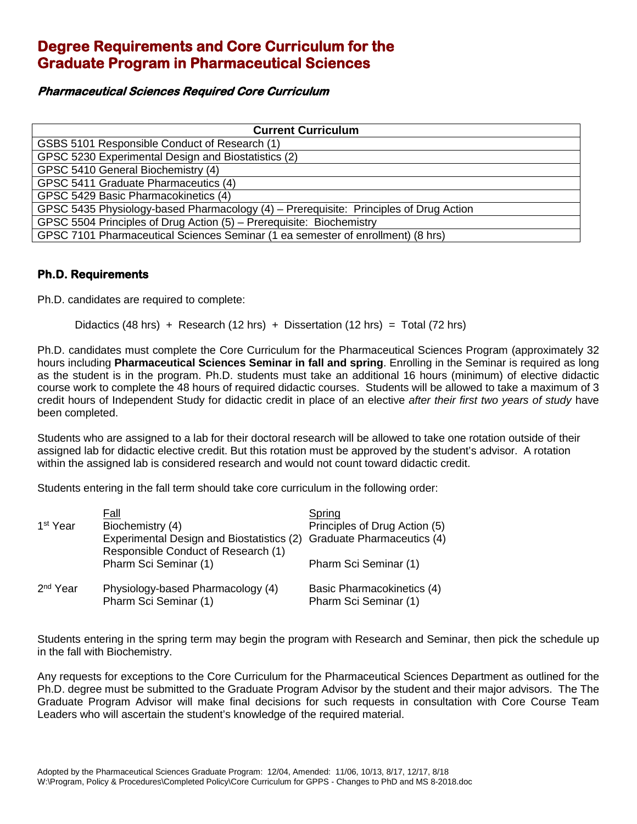## **Degree Requirements and Core Curriculum for the Graduate Program in Pharmaceutical Sciences**

## **Pharmaceutical Sciences Required Core Curriculum**

| <b>Current Curriculum</b>                                                             |  |  |  |
|---------------------------------------------------------------------------------------|--|--|--|
| GSBS 5101 Responsible Conduct of Research (1)                                         |  |  |  |
| GPSC 5230 Experimental Design and Biostatistics (2)                                   |  |  |  |
| GPSC 5410 General Biochemistry (4)                                                    |  |  |  |
| GPSC 5411 Graduate Pharmaceutics (4)                                                  |  |  |  |
| GPSC 5429 Basic Pharmacokinetics (4)                                                  |  |  |  |
| GPSC 5435 Physiology-based Pharmacology (4) – Prerequisite: Principles of Drug Action |  |  |  |
| GPSC 5504 Principles of Drug Action (5) - Prerequisite: Biochemistry                  |  |  |  |
| GPSC 7101 Pharmaceutical Sciences Seminar (1 ea semester of enrollment) (8 hrs)       |  |  |  |

## **Ph.D. Requirements**

Ph.D. candidates are required to complete:

Didactics (48 hrs) + Research (12 hrs) + Dissertation (12 hrs) = Total (72 hrs)

Ph.D. candidates must complete the Core Curriculum for the Pharmaceutical Sciences Program (approximately 32 hours including **Pharmaceutical Sciences Seminar in fall and spring**. Enrolling in the Seminar is required as long as the student is in the program. Ph.D. students must take an additional 16 hours (minimum) of elective didactic course work to complete the 48 hours of required didactic courses. Students will be allowed to take a maximum of 3 credit hours of Independent Study for didactic credit in place of an elective *after their first two years of study* have been completed.

Students who are assigned to a lab for their doctoral research will be allowed to take one rotation outside of their assigned lab for didactic elective credit. But this rotation must be approved by the student's advisor. A rotation within the assigned lab is considered research and would not count toward didactic credit.

Students entering in the fall term should take core curriculum in the following order:

|                      | Fall                                                                             | Spring                                              |
|----------------------|----------------------------------------------------------------------------------|-----------------------------------------------------|
| 1 <sup>st</sup> Year | Biochemistry (4)                                                                 | Principles of Drug Action (5)                       |
|                      | Experimental Design and Biostatistics (2)<br>Responsible Conduct of Research (1) | <b>Graduate Pharmaceutics (4)</b>                   |
|                      | Pharm Sci Seminar (1)                                                            | Pharm Sci Seminar (1)                               |
| 2 <sup>nd</sup> Year | Physiology-based Pharmacology (4)<br>Pharm Sci Seminar (1)                       | Basic Pharmacokinetics (4)<br>Pharm Sci Seminar (1) |

Students entering in the spring term may begin the program with Research and Seminar, then pick the schedule up in the fall with Biochemistry.

Any requests for exceptions to the Core Curriculum for the Pharmaceutical Sciences Department as outlined for the Ph.D. degree must be submitted to the Graduate Program Advisor by the student and their major advisors. The The Graduate Program Advisor will make final decisions for such requests in consultation with Core Course Team Leaders who will ascertain the student's knowledge of the required material.